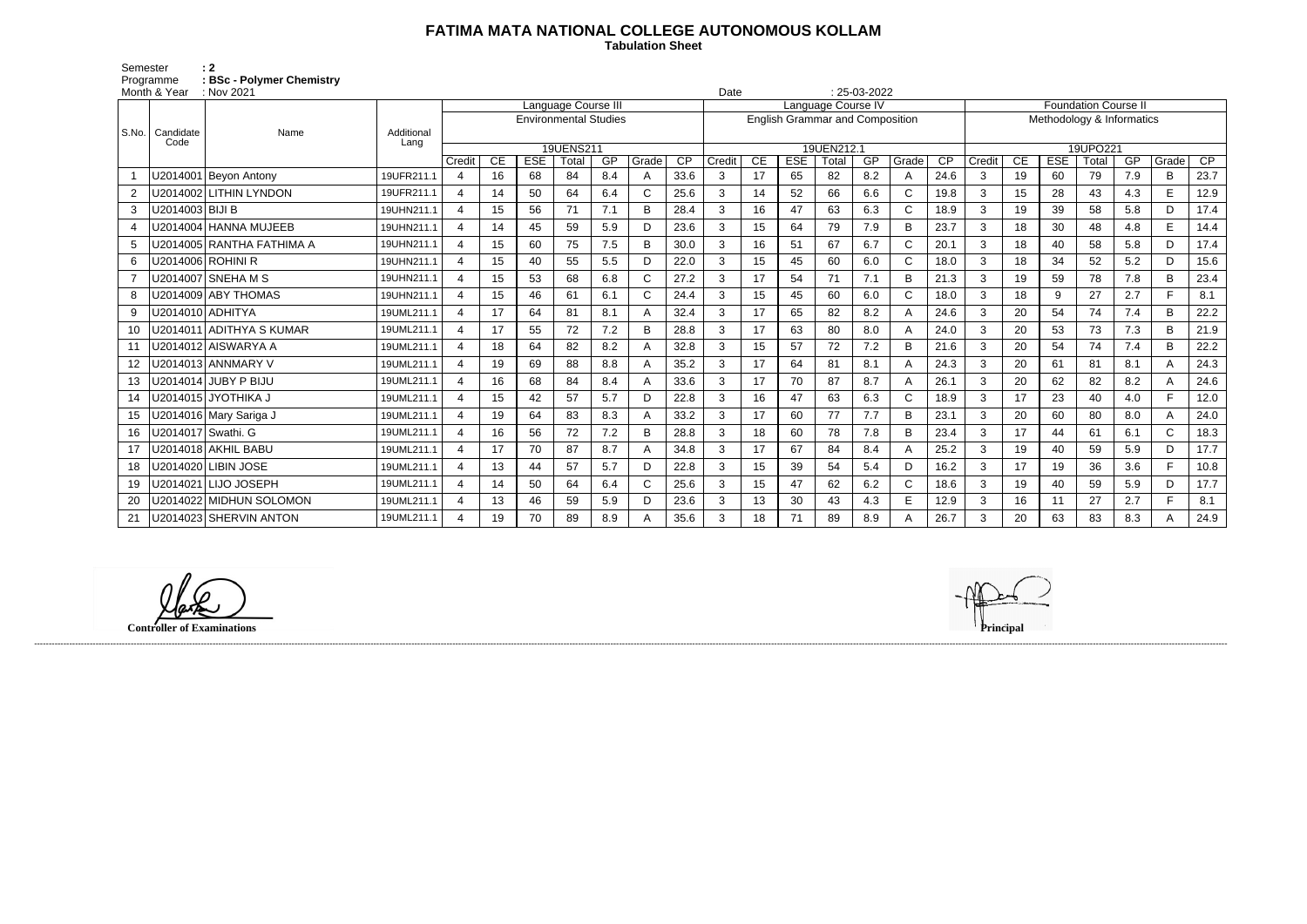## **FATIMA MATA NATIONAL COLLEGE AUTONOMOUS KOLLAM**

 **Tabulation Sheet** 

Semester : 2 Programme **: BSc - Polymer Chemistry**

| Month & Year<br>$\therefore$ Nov 2021 |                 |                           |            |                              |                  |            |       |     |       | $: 25-03-2022$<br>Date                 |            |                    |            |       |     |                           |                 |                             |    |            |       |     |              |      |
|---------------------------------------|-----------------|---------------------------|------------|------------------------------|------------------|------------|-------|-----|-------|----------------------------------------|------------|--------------------|------------|-------|-----|---------------------------|-----------------|-----------------------------|----|------------|-------|-----|--------------|------|
|                                       |                 | Name                      |            | Language Course III          |                  |            |       |     |       |                                        |            | Language Course IV |            |       |     |                           |                 | <b>Foundation Course II</b> |    |            |       |     |              |      |
| l S.No. l                             |                 |                           |            | <b>Environmental Studies</b> |                  |            |       |     |       | <b>English Grammar and Composition</b> |            |                    |            |       |     | Methodology & Informatics |                 |                             |    |            |       |     |              |      |
|                                       | Candidate       |                           | Additional |                              |                  |            |       |     |       |                                        |            |                    |            |       |     |                           |                 |                             |    |            |       |     |              |      |
|                                       | Code            |                           | Lang       | 19UENS211                    |                  |            |       |     |       |                                        | 19UEN212.1 |                    |            |       |     |                           | 19UPO221        |                             |    |            |       |     |              |      |
|                                       |                 |                           |            | Credit                       | <b>CE</b>        | <b>ESE</b> | Total | GP  | Grade | CP                                     | Credit     | CE                 | <b>ESE</b> | Total | GP  | Grade                     | $\overline{CP}$ | Credit                      | CE | <b>ESE</b> | Total | GP  | Grade        | CP   |
|                                       |                 | U2014001 Beyon Antony     | 19UFR211.1 | $\overline{4}$               | 16               | 68         | 84    | 8.4 | A     | 33.6                                   | 3          | 17                 | 65         | 82    | 8.2 | A                         | 24.6            | 3                           | 19 | 60         | 79    | 7.9 | B            | 23.7 |
| 2                                     |                 | U2014002 LITHIN LYNDON    | 19UFR211.1 | 4                            | 14               | 50         | 64    | 6.4 |       | 25.6                                   | 3          | 14                 | 52         | 66    | 6.6 | $\mathsf{C}$              | 19.8            | 3                           | 15 | 28         | 43    | 4.3 | E            | 12.9 |
| 3                                     | U2014003 BIJI B |                           | 19UHN211.1 | 4                            | 15               | 56         | 71    | 7.1 | B     | 28.4                                   | 3          | 16                 | 47         | 63    | 6.3 | C                         | 18.9            | 3                           | 19 | 39         | 58    | 5.8 | D            | 17.4 |
| $\overline{4}$                        |                 | U2014004 HANNA MUJEEB     | 19UHN211.1 | $\overline{4}$               | 14               | 45         | 59    | 5.9 | D     | 23.6                                   | 3          | 15                 | 64         | 79    | 7.9 | B                         | 23.7            | 3                           | 18 | 30         | 48    | 4.8 | E            | 14.4 |
| 5                                     |                 | U2014005 RANTHA FATHIMA A | 19UHN211.1 | $\overline{4}$               | 15               | 60         | 75    | 7.5 | B     | 30.0                                   | 3          | 16                 | 51         | 67    | 6.7 | $\mathsf{C}$              | 20.1            | 3                           | 18 | 40         | 58    | 5.8 | D            | 17.4 |
| 6                                     |                 | U2014006 ROHINI R         | 19UHN211.1 | $\overline{4}$               | 15 <sub>15</sub> | 40         | 55    | 5.5 | D     | 22.0                                   | 3          | 15                 | 45         | 60    | 6.0 | $\mathsf{C}$              | 18.0            | 3                           | 18 | 34         | 52    | 5.2 | D            | 15.6 |
| $\overline{7}$                        |                 | U2014007 SNEHA M S        | 19UHN211.1 | $\overline{4}$               | 15               | 53         | 68    | 6.8 |       | 27.2                                   | 3          | 17                 | 54         | 71    | 7.1 | B                         | 21.3            | 3                           | 19 | 59         | 78    | 7.8 | B            | 23.4 |
| 8                                     |                 | U2014009 ABY THOMAS       | 19UHN211.1 | 4                            | 15               | 46         | 61    | 6.1 |       | 24.4                                   | 3          | 15                 | 45         | 60    | 6.0 | $\mathsf{C}$              | 18.0            | 3                           | 18 | 9          | 27    | 2.7 | F.           | 8.1  |
| 9                                     |                 | U2014010 ADHITYA          | 19UML211.1 | 4                            | 17               | 64         | 81    | 8.1 |       | 32.4                                   | 3          | 17                 | 65         | 82    | 8.2 | A                         | 24.6            | 3                           | 20 | 54         | 74    | 7.4 | B            | 22.2 |
| 10                                    |                 | U2014011 ADITHYA S KUMAR  | 19UML211.1 | $\overline{4}$               | 17               | 55         | 72    | 7.2 | B     | 28.8                                   | 3          | 17                 | 63         | 80    | 8.0 | A                         | 24.0            | 3                           | 20 | 53         | 73    | 7.3 | B            | 21.9 |
| 11                                    |                 | U2014012 AISWARYA A       | 19UML211.1 | $\overline{4}$               | 18               | 64         | 82    | 8.2 |       | 32.8                                   | 3          | 15                 | 57         | 72    | 7.2 | B                         | 21.6            | 3                           | 20 | 54         | 74    | 7.4 | В            | 22.2 |
| 12                                    |                 | U2014013 ANNMARY V        | 19UML211.1 | 4                            | 19               | 69         | 88    | 8.8 |       | 35.2                                   | 3          | 17                 | 64         | 81    | 8.1 | A                         | 24.3            | 3                           | 20 | 61         | 81    | 8.1 |              | 24.3 |
| 13                                    |                 |                           | 19UML211.1 | $\mathbf 4$                  | 16               | 68         | 84    | 8.4 |       | 33.6                                   | 3          | 17                 | 70         | 87    | 8.7 | A                         | 26.1            | 3                           | 20 | 62         | 82    | 8.2 | A            | 24.6 |
| 14                                    |                 | U2014015 JYOTHIKA J       | 19UML211.1 | 4                            | 15               | 42         | 57    | 5.7 | D     | 22.8                                   | 3          | 16                 | 47         | 63    | 6.3 | $\mathsf{C}$              | 18.9            | 3                           | 17 | 23         | 40    | 4.0 | F.           | 12.0 |
| 15                                    |                 | U2014016 Mary Sariga J    | 19UML211.1 | 4                            | 19               | 64         | 83    | 8.3 |       | 33.2                                   | 3          | 17                 | 60         | 77    | 7.7 | B                         | 23.1            | 3                           | 20 | 60         | 80    | 8.0 | A            | 24.0 |
| 16                                    |                 | U2014017 Swathi. G        | 19UML211.1 | 4                            | 16               | 56         | 72    | 7.2 | B     | 28.8                                   | 3          | 18                 | 60         | 78    | 7.8 | B                         | 23.4            | 3                           | 17 | 44         | 61    | 6.1 | $\mathsf{C}$ | 18.3 |
| 17                                    |                 | U2014018 AKHIL BABU       | 19UML211.1 | 4                            | 17               | 70         | 87    | 8.7 |       | 34.8                                   | 3          | 17                 | 67         | 84    | 8.4 | A                         | 25.2            | 3                           | 19 | 40         | 59    | 5.9 | D            | 17.7 |
| 18                                    |                 | U2014020 LIBIN JOSE       | 19UML211.1 | $\overline{a}$               | 13               | 44         | 57    | 5.7 | D     | 22.8                                   | 3          | 15                 | 39         | 54    | 5.4 | D                         | 16.2            | 3                           | 17 | 19         | 36    | 3.6 | F.           | 10.8 |
| 19                                    |                 | U2014021 LIJO JOSEPH      | 19UML211.1 | 4                            | 14               | 50         | 64    | 6.4 |       | 25.6                                   | 3          | 15                 | 47         | 62    | 6.2 | $\mathsf{C}$              | 18.6            | 3                           | 19 | 40         | 59    | 5.9 | D            | 17.7 |
| 20                                    |                 | U2014022 MIDHUN SOLOMON   | 19UML211.1 | 4                            | 13               | 46         | 59    | 5.9 | D.    | 23.6                                   | 3          | 13                 | 30         | 43    | 4.3 | E                         | 12.9            | 3                           | 16 | 11         | 27    | 2.7 | F.           | 8.1  |
| 21                                    |                 | U2014023 SHERVIN ANTON    | 19UML211.1 | 4                            | 19               | 70         | 89    | 8.9 |       | 35.6                                   | 3          | 18                 | 71         | 89    | 8.9 | Α                         | 26.7            | 3                           | 20 | 63         | 83    | 8.3 |              | 24.9 |

------------------------------------------------------------------------------------------------------------------------------------------------------------------------------------------------------------------------------------------------------------------------------------------------------------------------------------------------------------------------------------------------------------------------

**Controller of Examinations**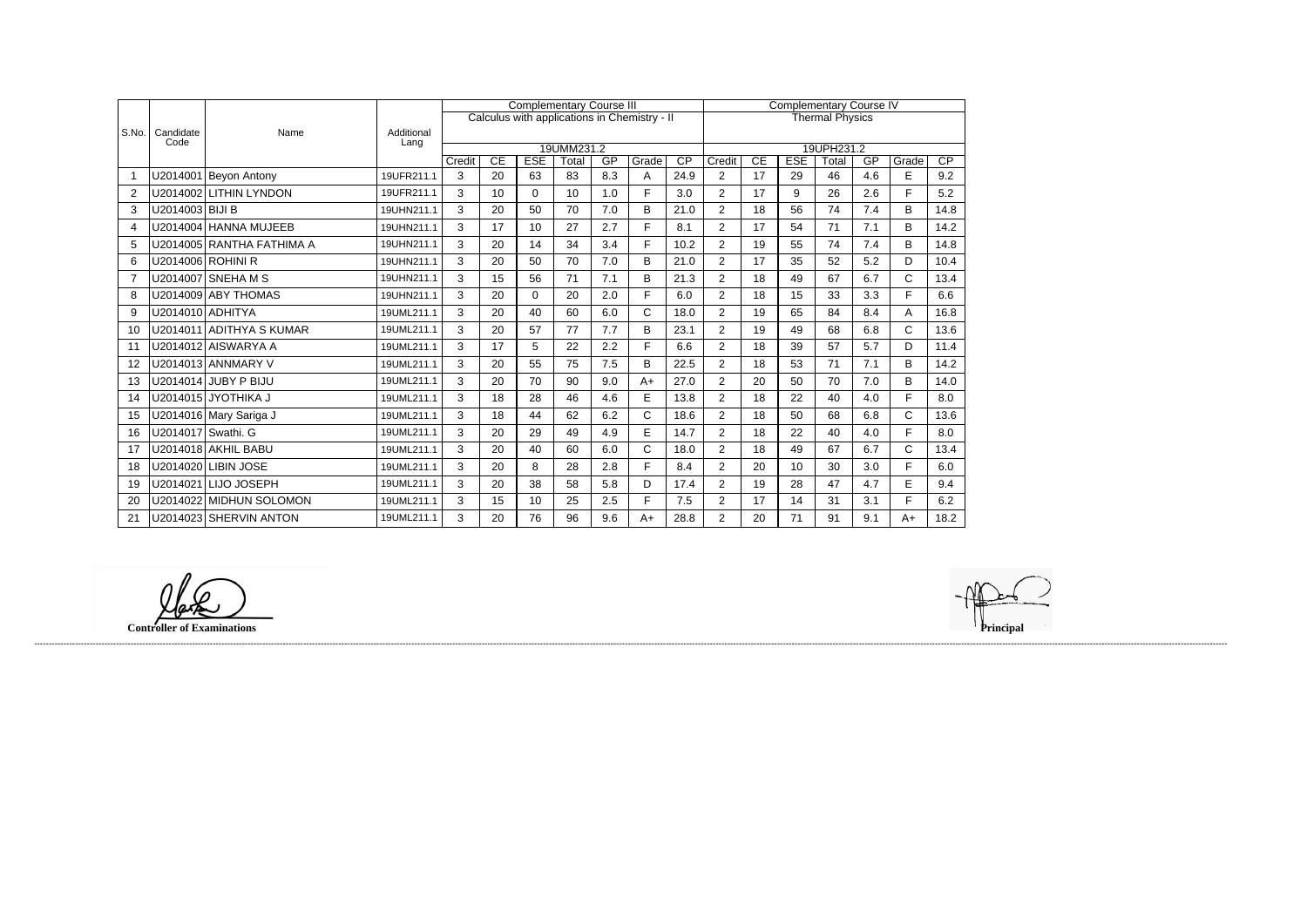|                |                    | Name                      | Additional<br>Lang | <b>Complementary Course III</b> |          |                  |             |           |                                              |                        |                          | <b>Complementary Course IV</b> |                               |             |           |              |      |  |  |
|----------------|--------------------|---------------------------|--------------------|---------------------------------|----------|------------------|-------------|-----------|----------------------------------------------|------------------------|--------------------------|--------------------------------|-------------------------------|-------------|-----------|--------------|------|--|--|
|                |                    |                           |                    |                                 |          |                  |             |           | Calculus with applications in Chemistry - II | <b>Thermal Physics</b> |                          |                                |                               |             |           |              |      |  |  |
| S.No.          | Candidate<br>Code  |                           |                    |                                 |          |                  |             |           |                                              |                        |                          |                                |                               |             |           |              |      |  |  |
|                |                    |                           |                    | 19UMM231.2                      |          |                  |             |           |                                              |                        |                          |                                | 19UPH231.2<br>$\overline{CP}$ |             |           |              |      |  |  |
| -1             |                    | U2014001 Beyon Antony     | 19UFR211.1         | Credit<br>3                     | CE<br>20 | <b>ESE</b><br>63 | Total<br>83 | GP<br>8.3 | Grade<br>Α                                   | CP<br>24.9             | Credit<br>$\overline{2}$ | $\overline{CE}$<br>17          | <b>ESE</b><br>29              | Total<br>46 | GP<br>4.6 | Grade<br>E   | 9.2  |  |  |
|                |                    |                           |                    |                                 |          |                  |             |           |                                              |                        |                          |                                |                               |             |           |              |      |  |  |
| $\overline{2}$ | U2014002           | <b>LITHIN LYNDON</b>      | 19UFR211.1         | 3                               | 10       | $\Omega$         | 10          | 1.0       | F                                            | 3.0                    | $\overline{2}$           | 17                             | 9                             | 26          | 2.6       | F            | 5.2  |  |  |
| 3              | U2014003 BIJI B    |                           | 19UHN211.1         | 3                               | 20       | 50               | 70          | 7.0       | B                                            | 21.0                   | $\overline{2}$           | 18                             | 56                            | 74          | 7.4       | B            | 14.8 |  |  |
| 4              |                    | U2014004 HANNA MUJEEB     | 19UHN211.1         | 3                               | 17       | 10               | 27          | 2.7       | F                                            | 8.1                    | $\overline{2}$           | 17                             | 54                            | 71          | 7.1       | B            | 14.2 |  |  |
| 5              |                    | U2014005 RANTHA FATHIMA A | 19UHN211.1         | 3                               | 20       | 14               | 34          | 3.4       | F                                            | 10.2                   | $\overline{2}$           | 19                             | 55                            | 74          | 7.4       | B            | 14.8 |  |  |
| 6              |                    | U2014006 ROHINI R         | 19UHN211.1         | 3                               | 20       | 50               | 70          | 7.0       | B                                            | 21.0                   | $\overline{2}$           | 17                             | 35                            | 52          | 5.2       | D            | 10.4 |  |  |
| 7              |                    | U2014007 SNEHA M S        | 19UHN211.1         | 3                               | 15       | 56               | 71          | 7.1       | B                                            | 21.3                   | $\overline{2}$           | 18                             | 49                            | 67          | 6.7       | C            | 13.4 |  |  |
| 8              |                    | U2014009 ABY THOMAS       | 19UHN211.1         | 3                               | 20       | $\Omega$         | 20          | 2.0       | F                                            | 6.0                    | $\overline{2}$           | 18                             | 15                            | 33          | 3.3       | F            | 6.6  |  |  |
| 9              | U2014010 ADHITYA   |                           | 19UML211.1         | 3                               | 20       | 40               | 60          | 6.0       | C                                            | 18.0                   | $\overline{2}$           | 19                             | 65                            | 84          | 8.4       | Α            | 16.8 |  |  |
| 10             |                    | U2014011 ADITHYA S KUMAR  | 19UML211.1         | 3                               | 20       | 57               | 77          | 7.7       | B                                            | 23.1                   | $\overline{2}$           | 19                             | 49                            | 68          | 6.8       | C            | 13.6 |  |  |
| 11             |                    | U2014012 AISWARYA A       | 19UML211.1         | 3                               | 17       | 5                | 22          | 2.2       | E                                            | 6.6                    | $\overline{2}$           | 18                             | 39                            | 57          | 5.7       | D            | 11.4 |  |  |
| 12             |                    | U2014013 ANNMARY V        | 19UML211.1         | 3                               | 20       | 55               | 75          | 7.5       | B                                            | 22.5                   | $\overline{2}$           | 18                             | 53                            | 71          | 7.1       | B            | 14.2 |  |  |
| 13             |                    | U2014014 JUBY P BIJU      | 19UML211.1         | 3                               | 20       | 70               | 90          | 9.0       | $A+$                                         | 27.0                   | $\overline{2}$           | 20                             | 50                            | 70          | 7.0       | B            | 14.0 |  |  |
| 14             |                    | U2014015 JYOTHIKA J       | 19UML211.1         | 3                               | 18       | 28               | 46          | 4.6       | E                                            | 13.8                   | $\overline{2}$           | 18                             | 22                            | 40          | 4.0       | F.           | 8.0  |  |  |
| 15             |                    | U2014016 Mary Sariga J    | 19UML211.1         | 3                               | 18       | 44               | 62          | 6.2       | $\mathsf{C}$                                 | 18.6                   | $\overline{2}$           | 18                             | 50                            | 68          | 6.8       | $\mathsf{C}$ | 13.6 |  |  |
| 16             | U2014017 Swathi. G |                           | 19UML211.1         | 3                               | 20       | 29               | 49          | 4.9       | E                                            | 14.7                   | $\overline{2}$           | 18                             | 22                            | 40          | 4.0       | F.           | 8.0  |  |  |
| 17             |                    | U2014018 AKHIL BABU       | 19UML211.1         | 3                               | 20       | 40               | 60          | 6.0       | C                                            | 18.0                   | $\overline{2}$           | 18                             | 49                            | 67          | 6.7       | $\mathsf{C}$ | 13.4 |  |  |
| 18             | U2014020           | <b>LIBIN JOSE</b>         | 19UML211.1         | 3                               | 20       | 8                | 28          | 2.8       | F                                            | 8.4                    | $\overline{2}$           | 20                             | 10                            | 30          | 3.0       | F            | 6.0  |  |  |
| 19             |                    | U2014021 LIJO JOSEPH      | 19UML211.1         | 3                               | 20       | 38               | 58          | 5.8       | D                                            | 17.4                   | $\overline{2}$           | 19                             | 28                            | 47          | 4.7       | E            | 9.4  |  |  |
| 20             |                    | U2014022 MIDHUN SOLOMON   | 19UML211.1         | 3                               | 15       | 10               | 25          | 2.5       | F                                            | 7.5                    | $\overline{2}$           | 17                             | 14                            | 31          | 3.1       | F.           | 6.2  |  |  |
| 21             |                    | U2014023 SHERVIN ANTON    | 19UML211.1         | 3                               | 20       | 76               | 96          | 9.6       | $A+$                                         | 28.8                   | $\overline{2}$           | 20                             | 71                            | 91          | 9.1       | $A+$         | 18.2 |  |  |

**Controller of Examinations Principal**

------------------------------------------------------------------------------------------------------------------------------------------------------------------------------------------------------------------------------------------------------------------------------------------------------------------------------------------------------------------------------------------------------------------------